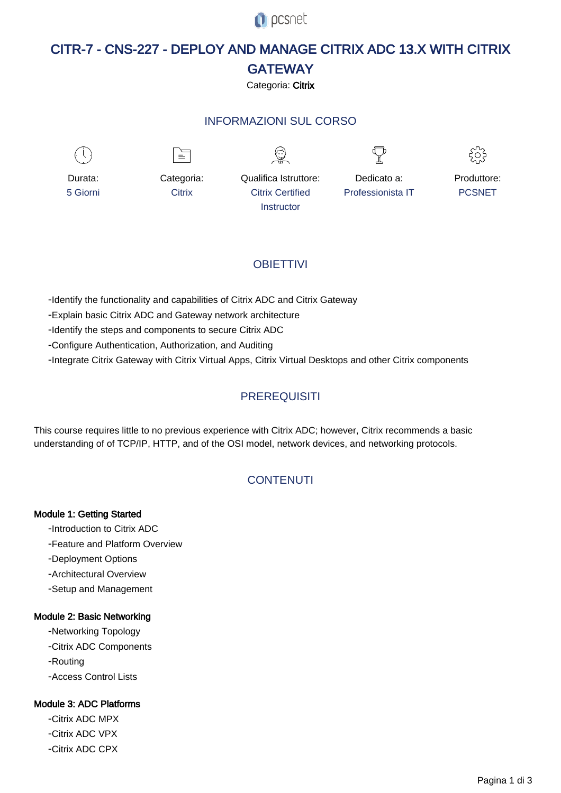**O** pcsnet

# CITR-7 - CNS-227 - DEPLOY AND MANAGE CITRIX ADC 13.X WITH CITRIX **GATEWAY**

## Categoria: Citrix

## INFORMAZIONI SUL CORSO



# **OBIFTTIVI**

- Identify the functionality and capabilities of Citrix ADC and Citrix Gateway

- Explain basic Citrix ADC and Gateway network architecture

- Identify the steps and components to secure Citrix ADC

- Configure Authentication, Authorization, and Auditing

- Integrate Citrix Gateway with Citrix Virtual Apps, Citrix Virtual Desktops and other Citrix components

## **PREREQUISITI**

This course requires little to no previous experience with Citrix ADC; however, Citrix recommends a basic understanding of of TCP/IP, HTTP, and of the OSI model, network devices, and networking protocols.

# **CONTENUTI**

#### Module 1: Getting Started

- Introduction to Citrix ADC

- Feature and Platform Overview
- Deployment Options
- Architectural Overview
- Setup and Management

#### Module 2: Basic Networking

- Networking Topology

- Citrix ADC Components
- Routing

- Access Control Lists

#### Module 3: ADC Platforms

- Citrix ADC MPX - Citrix ADC VPX - Citrix ADC CPX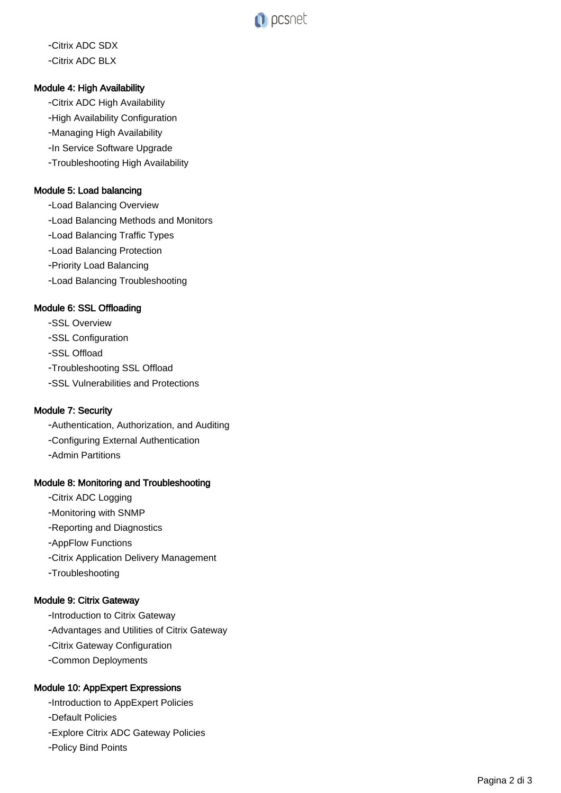

----------------------------------- Citrix ADC SDX Citrix ADC BLX

## Module 4: High Availability

Citrix ADC High Availability

-High Availability Configuration

Managing High Availability

-In Service Software Upgrade

Troubleshooting High Availability

## Module 5: Load balancing

Load Balancing Overview

Load Balancing Methods and Monitors

Load Balancing Traffic Types

Load Balancing Protection

Priority Load Balancing

Load Balancing Troubleshooting

#### Module 6: SSL Offloading

SSL Overview

-SSL Configuration

SSL Offload

Troubleshooting SSL Offload

SSL Vulnerabilities and Protections

#### Module 7: Security

Authentication, Authorization, and Auditing

Configuring External Authentication

Admin Partitions

#### Module 8: Monitoring and Troubleshooting

Citrix ADC Logging

Monitoring with SNMP

Reporting and Diagnostics

AppFlow Functions

Citrix Application Delivery Management

Troubleshooting

#### Module 9: Citrix Gateway

-Introduction to Citrix Gateway

Advantages and Utilities of Citrix Gateway

Citrix Gateway Configuration

Common Deployments

#### Module 10: AppExpert Expressions

-Introduction to AppExpert Policies

Default Policies

Explore Citrix ADC Gateway Policies

Policy Bind Points